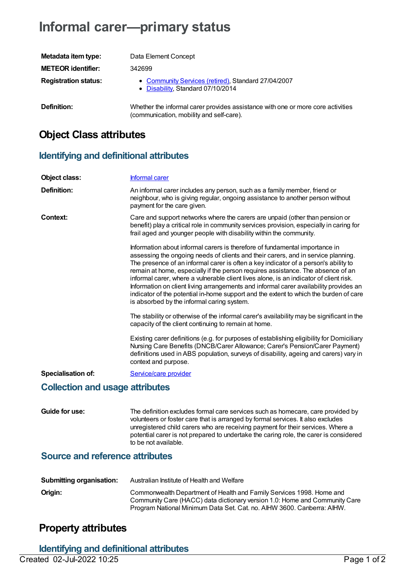# **Informal carer—primary status**

| Metadata item type:         | Data Element Concept                                                                                                        |
|-----------------------------|-----------------------------------------------------------------------------------------------------------------------------|
| <b>METEOR identifier:</b>   | 342699                                                                                                                      |
| <b>Registration status:</b> | • Community Services (retired), Standard 27/04/2007<br>• Disability, Standard 07/10/2014                                    |
| Definition:                 | Whether the informal carer provides assistance with one or more core activities<br>(communication, mobility and self-care). |

### **Object Class attributes**

### **Identifying and definitional attributes**

| Object class:                          | <b>Informal carer</b>                                                                                                                                                                                                                                                                                                                                                                                                                                                                                                                                                                                                                                                |  |
|----------------------------------------|----------------------------------------------------------------------------------------------------------------------------------------------------------------------------------------------------------------------------------------------------------------------------------------------------------------------------------------------------------------------------------------------------------------------------------------------------------------------------------------------------------------------------------------------------------------------------------------------------------------------------------------------------------------------|--|
| <b>Definition:</b>                     | An informal carer includes any person, such as a family member, friend or<br>neighbour, who is giving regular, ongoing assistance to another person without<br>payment for the care given.                                                                                                                                                                                                                                                                                                                                                                                                                                                                           |  |
| <b>Context:</b>                        | Care and support networks where the carers are unpaid (other than pension or<br>benefit) play a critical role in community services provision, especially in caring for<br>frail aged and younger people with disability within the community.                                                                                                                                                                                                                                                                                                                                                                                                                       |  |
|                                        | Information about informal carers is therefore of fundamental importance in<br>assessing the ongoing needs of clients and their carers, and in service planning.<br>The presence of an informal carer is often a key indicator of a person's ability to<br>remain at home, especially if the person requires assistance. The absence of an<br>informal carer, where a vulnerable client lives alone, is an indicator of client risk.<br>Information on client living arrangements and informal carer availability provides an<br>indicator of the potential in-home support and the extent to which the burden of care<br>is absorbed by the informal caring system. |  |
|                                        | The stability or otherwise of the informal carer's availability may be significant in the<br>capacity of the client continuing to remain at home.                                                                                                                                                                                                                                                                                                                                                                                                                                                                                                                    |  |
|                                        | Existing carer definitions (e.g. for purposes of establishing eligibility for Domiciliary<br>Nursing Care Benefits (DNCB/Carer Allowance; Carer's Pension/Carer Payment)<br>definitions used in ABS population, surveys of disability, ageing and carers) vary in<br>context and purpose.                                                                                                                                                                                                                                                                                                                                                                            |  |
| <b>Specialisation of:</b>              | Service/care provider                                                                                                                                                                                                                                                                                                                                                                                                                                                                                                                                                                                                                                                |  |
| <b>Collection and usage attributes</b> |                                                                                                                                                                                                                                                                                                                                                                                                                                                                                                                                                                                                                                                                      |  |
| Guide for use:                         | The definition excludes formal care services such as homecare, care provided by<br>volunteers or foster care that is arranged by formal services. It also excludes<br>unregistered child carers who are receiving payment for their services. Where a<br>potential carer is not prepared to undertake the caring role, the carer is considered<br>to be not available.                                                                                                                                                                                                                                                                                               |  |

#### **Source and reference attributes**

| <b>Submitting organisation:</b> | Australian Institute of Health and Welfare                                                                                                                                                                                   |
|---------------------------------|------------------------------------------------------------------------------------------------------------------------------------------------------------------------------------------------------------------------------|
| Origin:                         | Commonwealth Department of Health and Family Services 1998. Home and<br>Community Care (HACC) data dictionary version 1.0: Home and Community Care<br>Program National Minimum Data Set. Cat. no. AIHW 3600. Canberra: AIHW. |

### **Property attributes**

**Identifying and definitional attributes**